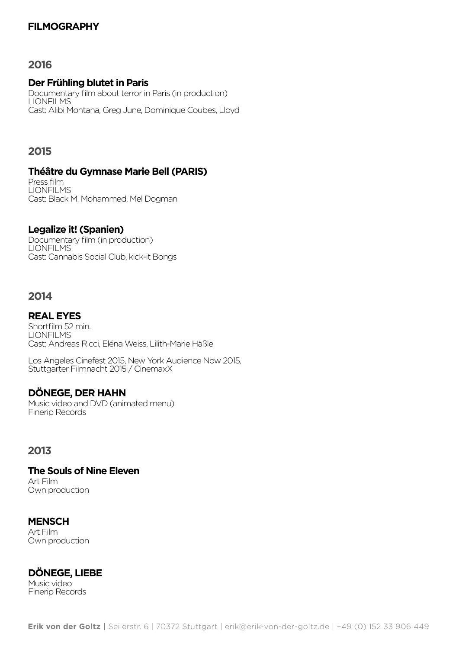# **FILMOGRAPHY**

## **2016**

#### **Der Frühling blutet in Paris**

Documentary film about terror in Paris (in production) LIONFILMS Cast: Alibi Montana, Greg June, Dominique Coubes, Lloyd

## **2015**

#### **Théâtre du Gymnase Marie Bell (PARIS)**

Press film LIONFILMS Cast: Black M. Mohammed, Mel Dogman

## **Legalize it! (Spanien)**

Documentary film (in production) LIONFILMS Cast: Cannabis Social Club, kick-it Bongs

#### **2014**

## **REAL EYES**

Shortfilm 52 min. LIONFILMS Cast: Andreas Ricci, Eléna Weiss, Lilith-Marie Häßle

Los Angeles Cinefest 2015, New York Audience Now 2015, Stuttgarter Filmnacht 2015 / CinemaxX

### **DÖNEGE, DER HAHN**

Music video and DVD (animated menu) Finerip Records

## **2013**

**The Souls of Nine Eleven** Art Film Own production

### **MENSCH**

Art Film Own production

## **DÖNEGE, LIEBE**

Music video Finerip Records